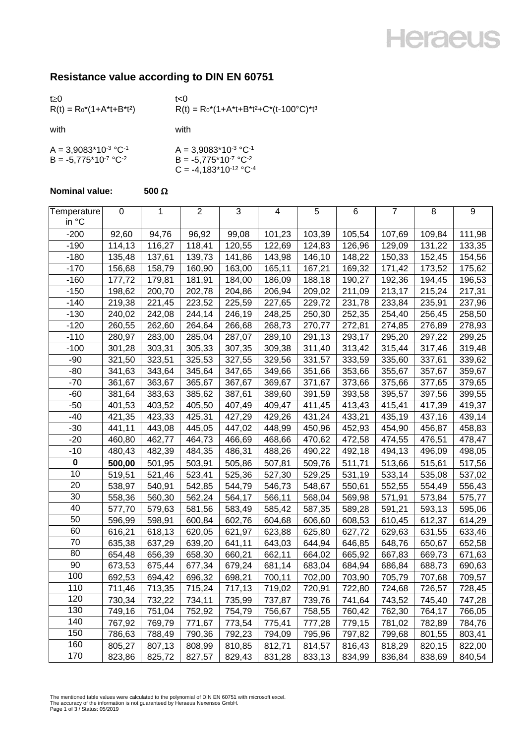## **Heraeus**

### **Resistance value according to DIN EN 60751**

| t > 0<br>$R(t) = R_0^*(1+A^*t+B^*t^2)$                 | t<0<br>$R(t) = R_0^*(1 + A^*t + B^*t^2 + C^*(t - 100^{\circ}C)^*t^3)$             |
|--------------------------------------------------------|-----------------------------------------------------------------------------------|
| with                                                   | with                                                                              |
| $A = 3,9083*10-3 °C-1$<br>$B = -5.775*10^{-7} °C^{-2}$ | $A = 3,9083*10-3 °C-1$<br>$B = -5,775*10^{-7} °C^{-2}$<br>$C = -4,183*10-12 °C-4$ |

#### **Nominal value:**  $500 \Omega$

| Temperature<br>in °C | $\boldsymbol{0}$ | 1      | $\overline{2}$ | 3      | 4      | 5      | 6      | $\overline{7}$ | 8      | 9      |
|----------------------|------------------|--------|----------------|--------|--------|--------|--------|----------------|--------|--------|
| $-200$               | 92,60            | 94,76  | 96,92          | 99,08  | 101,23 | 103,39 | 105,54 | 107,69         | 109,84 | 111,98 |
| $-190$               | 114,13           | 116,27 | 118,41         | 120,55 | 122,69 | 124,83 | 126,96 | 129,09         | 131,22 | 133,35 |
| $-180$               | 135,48           | 137,61 | 139,73         | 141,86 | 143,98 | 146,10 | 148,22 | 150,33         | 152,45 | 154,56 |
| $-170$               | 156,68           | 158,79 | 160,90         | 163,00 | 165,11 | 167,21 | 169,32 | 171,42         | 173,52 | 175,62 |
| $-160$               | 177,72           | 179,81 | 181,91         | 184,00 | 186,09 | 188,18 | 190,27 | 192,36         | 194,45 | 196,53 |
| $-150$               | 198,62           | 200,70 | 202,78         | 204,86 | 206,94 | 209,02 | 211,09 | 213,17         | 215,24 | 217,31 |
| $-140$               | 219,38           | 221,45 | 223,52         | 225,59 | 227,65 | 229,72 | 231,78 | 233,84         | 235,91 | 237,96 |
| $-130$               | 240,02           | 242,08 | 244,14         | 246,19 | 248,25 | 250,30 | 252,35 | 254,40         | 256,45 | 258,50 |
| $-120$               | 260,55           | 262,60 | 264,64         | 266,68 | 268,73 | 270,77 | 272,81 | 274,85         | 276,89 | 278,93 |
| $-110$               | 280,97           | 283,00 | 285,04         | 287,07 | 289,10 | 291,13 | 293,17 | 295,20         | 297,22 | 299,25 |
| $-100$               | 301,28           | 303,31 | 305,33         | 307,35 | 309,38 | 311,40 | 313,42 | 315,44         | 317,46 | 319,48 |
| $-90$                | 321,50           | 323,51 | 325,53         | 327,55 | 329,56 | 331,57 | 333,59 | 335,60         | 337,61 | 339,62 |
| $-80$                | 341,63           | 343,64 | 345,64         | 347,65 | 349,66 | 351,66 | 353,66 | 355,67         | 357,67 | 359,67 |
| $-70$                | 361,67           | 363,67 | 365,67         | 367,67 | 369,67 | 371,67 | 373,66 | 375,66         | 377,65 | 379,65 |
| $-60$                | 381,64           | 383,63 | 385,62         | 387,61 | 389,60 | 391,59 | 393,58 | 395,57         | 397,56 | 399,55 |
| $-50$                | 401,53           | 403,52 | 405,50         | 407,49 | 409,47 | 411,45 | 413,43 | 415,41         | 417,39 | 419,37 |
| $-40$                | 421,35           | 423,33 | 425,31         | 427,29 | 429,26 | 431,24 | 433,21 | 435,19         | 437,16 | 439,14 |
| $-30$                | 441,11           | 443,08 | 445,05         | 447,02 | 448,99 | 450,96 | 452,93 | 454,90         | 456,87 | 458,83 |
| $-20$                | 460,80           | 462,77 | 464,73         | 466,69 | 468,66 | 470,62 | 472,58 | 474,55         | 476,51 | 478,47 |
| $-10$                | 480,43           | 482,39 | 484,35         | 486,31 | 488,26 | 490,22 | 492,18 | 494,13         | 496,09 | 498,05 |
| $\pmb{0}$            | 500,00           | 501,95 | 503,91         | 505,86 | 507,81 | 509,76 | 511,71 | 513,66         | 515,61 | 517,56 |
| 10                   | 519,51           | 521,46 | 523,41         | 525,36 | 527,30 | 529,25 | 531,19 | 533,14         | 535,08 | 537,02 |
| 20                   | 538,97           | 540,91 | 542,85         | 544,79 | 546,73 | 548,67 | 550,61 | 552,55         | 554,49 | 556,43 |
| 30                   | 558,36           | 560,30 | 562,24         | 564,17 | 566,11 | 568,04 | 569,98 | 571,91         | 573,84 | 575,77 |
| 40                   | 577,70           | 579,63 | 581,56         | 583,49 | 585,42 | 587,35 | 589,28 | 591,21         | 593,13 | 595,06 |
| 50                   | 596,99           | 598,91 | 600,84         | 602,76 | 604,68 | 606,60 | 608,53 | 610,45         | 612,37 | 614,29 |
| 60                   | 616,21           | 618,13 | 620,05         | 621,97 | 623,88 | 625,80 | 627,72 | 629,63         | 631,55 | 633,46 |
| 70                   | 635,38           | 637,29 | 639,20         | 641,11 | 643,03 | 644,94 | 646,85 | 648,76         | 650,67 | 652,58 |
| 80                   | 654,48           | 656,39 | 658,30         | 660,21 | 662,11 | 664,02 | 665,92 | 667,83         | 669,73 | 671,63 |
| 90                   | 673,53           | 675,44 | 677,34         | 679,24 | 681,14 | 683,04 | 684,94 | 686,84         | 688,73 | 690,63 |
| 100                  | 692,53           | 694,42 | 696,32         | 698,21 | 700,11 | 702,00 | 703,90 | 705,79         | 707,68 | 709,57 |
| 110                  | 711,46           | 713,35 | 715,24         | 717,13 | 719,02 | 720,91 | 722,80 | 724,68         | 726,57 | 728,45 |
| 120                  | 730,34           | 732,22 | 734,11         | 735,99 | 737,87 | 739,76 | 741,64 | 743,52         | 745,40 | 747,28 |
| 130                  | 749,16           | 751,04 | 752,92         | 754,79 | 756,67 | 758,55 | 760,42 | 762,30         | 764,17 | 766,05 |
| 140                  | 767,92           | 769,79 | 771,67         | 773,54 | 775,41 | 777,28 | 779,15 | 781,02         | 782,89 | 784,76 |
| 150                  | 786,63           | 788,49 | 790,36         | 792,23 | 794,09 | 795,96 | 797,82 | 799,68         | 801,55 | 803,41 |
| 160                  | 805,27           | 807,13 | 808,99         | 810,85 | 812,71 | 814,57 | 816,43 | 818,29         | 820,15 | 822,00 |
| 170                  | 823,86           | 825,72 | 827,57         | 829,43 | 831,28 | 833,13 | 834,99 | 836,84         | 838,69 | 840,54 |

The mentioned table values were calculated to the polynomial of DIN EN 60751 with microsoft excel. The accuracy of the information is not guaranteed by Heraeus Nexensos GmbH. Page 1 of 3 / Status: 05/2019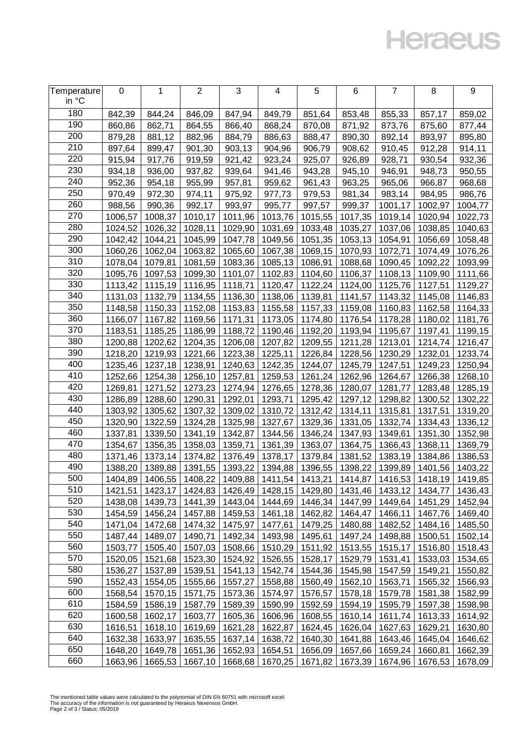## **Heraeus**

| Temperature<br>in °C | 0       | 1                                                                   | $\overline{2}$ | 3                 | 4       | 5                                                                   | 6       | 7       | 8                 | 9       |
|----------------------|---------|---------------------------------------------------------------------|----------------|-------------------|---------|---------------------------------------------------------------------|---------|---------|-------------------|---------|
| 180                  | 842,39  | 844,24                                                              | 846,09         | 847,94            | 849,79  | 851,64                                                              | 853,48  | 855,33  | 857,17            | 859,02  |
| 190                  | 860,86  | 862,71                                                              | 864,55         | 866,40            | 868,24  | 870,08                                                              | 871,92  | 873,76  | 875,60            | 877,44  |
| 200                  | 879,28  | 881,12                                                              | 882,96         | 884,79            | 886,63  | 888,47                                                              | 890,30  | 892,14  | 893,97            | 895,80  |
| 210                  | 897,64  | 899,47                                                              | 901,30         | 903,13            | 904,96  | 906,79                                                              | 908,62  | 910,45  | 912,28            | 914,11  |
| 220                  | 915,94  | 917,76                                                              | 919,59         | 921,42            | 923,24  | 925,07                                                              | 926,89  | 928,71  | 930,54            | 932,36  |
| 230                  | 934,18  | 936,00                                                              | 937,82         | 939,64            | 941,46  | 943,28                                                              | 945,10  | 946,91  | 948,73            | 950,55  |
| 240                  | 952,36  | 954,18                                                              | 955,99         | 957,81            | 959,62  | 961,43                                                              | 963,25  | 965,06  | 966,87            | 968,68  |
| 250                  | 970,49  | 972,30                                                              | 974,11         | 975,92            | 977,73  | 979,53                                                              | 981,34  | 983,14  | 984,95            | 986,76  |
| 260                  | 988,56  | 990,36                                                              | 992,17         | 993,97            | 995,77  | 997,57                                                              | 999,37  | 1001,17 | 1002,97           | 1004,77 |
| 270                  | 1006,57 | 1008,37                                                             | 1010,17        | 1011,96           | 1013,76 | 1015,55                                                             | 1017,35 | 1019,14 | 1020,94           | 1022,73 |
| 280                  | 1024,52 | 1026,32                                                             | 1028,11        | 1029,90           | 1031,69 | 1033,48                                                             | 1035,27 | 1037,06 | 1038,85           | 1040,63 |
| 290                  | 1042,42 | 1044,21                                                             | 1045,99        | 1047,78           | 1049,56 | 1051,35                                                             | 1053,13 | 1054,91 | 1056,69           | 1058,48 |
| 300                  | 1060,26 | 1062,04                                                             | 1063,82        | 1065,60           | 1067,38 | 1069,15                                                             | 1070,93 | 1072,71 | 1074,49           | 1076,26 |
| 310                  | 1078,04 | 1079,81                                                             | 1081,59        | 1083,36           | 1085,13 | 1086,91                                                             | 1088,68 | 1090,45 | 1092,22           | 1093,99 |
| 320                  | 1095,76 | 1097,53                                                             | 1099,30        | 1101,07           | 1102,83 | 1104,60                                                             | 1106,37 | 1108,13 | 1109,90           | 1111,66 |
| 330                  | 1113,42 | 1115,19                                                             | 1116,95        | 1118,71           | 1120,47 | 1122,24                                                             | 1124,00 | 1125,76 | 1127,51           | 1129,27 |
| 340                  | 1131,03 | 1132,79                                                             | 1134,55        | 1136,30           | 1138,06 | 1139,81                                                             | 1141,57 | 1143,32 | 1145,08           | 1146,83 |
| 350                  | 1148,58 | 1150,33                                                             | 1152,08        | 1153,83           | 1155,58 | 1157,33                                                             | 1159,08 | 1160,83 | 1162,58           | 1164,33 |
| 360                  | 1166,07 | 1167,82                                                             | 1169,56        | 1171,31           | 1173,05 | 1174,80                                                             | 1176,54 | 1178,28 | 1180,02           | 1181,76 |
| 370                  | 1183,51 | 1185,25                                                             | 1186,99        | 1188,72           | 1190,46 | 1192,20                                                             | 1193,94 | 1195,67 | 1197,41           | 1199,15 |
| 380                  | 1200,88 | 1202,62                                                             | 1204,35        | 1206,08           | 1207,82 | 1209,55                                                             | 1211,28 | 1213,01 | 1214,74           | 1216,47 |
| 390                  | 1218,20 | 1219,93                                                             | 1221,66        | 1223,38           | 1225,11 | 1226,84                                                             | 1228,56 | 1230,29 | 1232,01           | 1233,74 |
| 400                  | 1235,46 | 1237,18                                                             | 1238,91        | 1240,63           | 1242,35 | 1244,07                                                             | 1245,79 | 1247,51 | 1249,23           | 1250,94 |
| 410                  | 1252,66 | 1254,38                                                             | 1256,10        | 1257,81           | 1259,53 | 1261,24                                                             | 1262,96 | 1264,67 | 1266,38           | 1268,10 |
| 420                  | 1269,81 | 1271,52                                                             | 1273,23        | 1274,94           | 1276,65 | 1278,36                                                             | 1280,07 | 1281,77 | 1283,48           | 1285,19 |
| 430                  | 1286,89 | 1288,60                                                             | 1290,31        | 1292,01           | 1293,71 | 1295,42                                                             | 1297,12 | 1298,82 | 1300,52           | 1302,22 |
| 440                  | 1303,92 | 1305,62                                                             | 1307,32        | 1309,02           | 1310,72 | 1312,42                                                             | 1314,11 | 1315,81 | 1317,51           | 1319,20 |
| 450                  | 1320,90 | 1322,59                                                             | 1324,28        | 1325,98           | 1327,67 | 1329,36                                                             | 1331,05 | 1332,74 | 1334,43           | 1336,12 |
| 460                  | 1337,81 | 1339,50                                                             | 1341,19        | 1342,87           | 1344,56 | 1346,24                                                             | 1347,93 | 1349,61 | 1351,30           | 1352,98 |
| 470                  | 1354,67 | 1356,35                                                             | 1358,03        | 1359,71           | 1361,39 | 1363,07                                                             | 1364,75 | 1366,43 | 1368,11           | 1369,79 |
| 480                  | 1371,46 | 1373,14                                                             | 1374,82        | 1376,49           | 1378,17 | 1379,84                                                             | 1381,52 | 1383,19 | 1384,86           | 1386,53 |
| 490                  | 1388,20 | 1389,88                                                             | 1391,55        | 1393,22           | 1394,88 | 1396,55                                                             | 1398,22 | 1399,89 | 1401,56           | 1403,22 |
| 500                  | 1404,89 | 1406,55                                                             | 1408,22        | 1409,88           |         | 1411,54 1413,21                                                     | 1414,87 | 1416,53 | 1418,19           | 1419,85 |
| 510                  |         | 1421,51   1423,17   1424,83   1426,49   1428,15   1429,80   1431,46 |                |                   |         |                                                                     |         |         | 1433,12   1434,77 | 1436,43 |
| 520                  | 1438,08 | 1439,73                                                             | 1441,39        | 1443,04           |         | 1444,69 1446,34                                                     | 1447,99 | 1449,64 | 1451,29           | 1452,94 |
| 530                  | 1454,59 | 1456,24                                                             | 1457,88        | 1459,53           |         | 1461,18   1462,82                                                   | 1464,47 | 1466,11 | 1467,76           | 1469,40 |
| 540                  | 1471,04 | 1472,68                                                             | 1474,32        | 1475,97           | 1477,61 | 1479,25                                                             | 1480,88 | 1482,52 | 1484,16           | 1485,50 |
| 550                  | 1487,44 | 1489,07                                                             | 1490,71        | 1492,34           |         | 1493,98 1495,61                                                     | 1497,24 | 1498,88 | 1500,51           | 1502,14 |
| 560                  | 1503,77 | 1505,40                                                             | 1507,03        | 1508,66           |         | 1510,29   1511,92                                                   | 1513,55 | 1515,17 | 1516,80           | 1518,43 |
| 570                  | 1520,05 | 1521,68                                                             | 1523,30        | 1524,92           | 1526,55 | 1528,17                                                             | 1529,79 | 1531,41 | 1533,03           | 1534,65 |
| 580                  | 1536,27 | 1537,89                                                             | 1539,51        | 1541,13           | 1542,74 | 1544,36                                                             | 1545,98 | 1547,59 | 1549,21           | 1550,82 |
| 590                  | 1552,43 | 1554,05                                                             | 1555,66        | 1557,27           |         | 1558,88   1560,49                                                   | 1562,10 | 1563,71 | 1565,32           | 1566,93 |
| 600                  | 1568,54 | 1570,15                                                             | 1571,75        | 1573,36           |         | 1574,97   1576,57                                                   | 1578,18 | 1579,78 | 1581,38           | 1582,99 |
| 610                  | 1584,59 | 1586,19                                                             | 1587,79        | 1589,39           | 1590,99 | 1592,59                                                             | 1594,19 | 1595,79 | 1597,38           | 1598,98 |
| 620                  | 1600,58 | 1602,17                                                             | 1603,77        | 1605,36           | 1606,96 | 1608,55                                                             | 1610,14 | 1611,74 | 1613,33           | 1614,92 |
| 630                  | 1616,51 | 1618,10                                                             | 1619,69        | 1621,28           | 1622,87 | 1624,45                                                             | 1626,04 | 1627,63 | 1629,21           | 1630,80 |
| 640                  | 1632,38 | 1633,97                                                             | 1635,55        | 1637,14           | 1638,72 | 1640,30                                                             | 1641,88 |         | 1643,46   1645,04 | 1646,62 |
| 650                  | 1648,20 | 1649,78                                                             |                | 1651,36   1652,93 |         | 1654,51   1656,09   1657,66                                         |         |         | 1659,24 1660,81   | 1662,39 |
| 660                  | 1663,96 | 1665,53                                                             |                |                   |         | 1667,10   1668,68   1670,25   1671,82   1673,39   1674,96   1676,53 |         |         |                   | 1678,09 |

The mentioned table values were calculated to the polynomial of DIN EN 60751 with microsoft excel. The accuracy of the information is not guaranteed by Heraeus Nexensos GmbH. Page 2 of 3 / Status: 05/2019